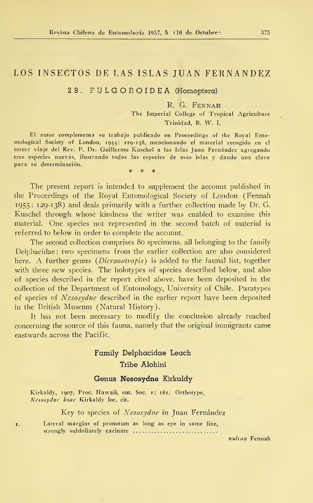# LOS INSECTOS DE LAS ISLAS JUAN FERNANDEZ

# 29. FULGOROIDEA (Homopíera)

# R. G. FENNAH

The Imperial College of Tropical Agriculture Trinidad, B. W. I.

El autor complementa su trabajo publicado en Proceedings of the Royal Ento mological Society of London, 1955: 129-138, mencionando el material recogido en el tercer viaje del Rev. P. Dr. Guillermo Kuschel a las Islas Juan Fernández agregando tres especies nuevas, ilustrando todas las especies de esas islas y dando una clave para su determinación. \* \* \*

The present report is intended to supplement the account published in the Proceedings of the Royal Entomological Society of London (Fennah 1955 : 129-138) and deals primarily with a further collection made by Dr. G. Kuschel through whose kindness the writer was enabled to examine this material. One species not represented in the second batch of material is referred to below in order to complete the account.

The second collection comprises 80 specimens, all belonging to the family Delphacidae : two specimens <sup>f</sup> rom the earlier collection are also eonsidered here. A further genus (*Dicranotropis*) is added to the faunal list, together with three new species. The holotypes of species described below, and also of species described in the report cited above, have been deposited in the collection of the Department of Entomology, University of Chile. Paratypes of species of Nesosydne described in the earlier report have been deposited in the British Museum (Natural History).

It has not been necessary to modify the conclusion already reached concerning the source of this fauna, namely that the original immigrants came eastwards.across the Pacific.

# Family Delphacidae Leach Tribe Alohini

### Genus Nesosydne Kirkaldy

Kirkaldy, 1907, Proc. Hawaii, ent. Soc. 1: 161. Orthotype, Nesosydne koae Kirkaldy loc. cit.

Key to species of Nesosydne in Juan Fernández

1. Lateral margins of pronotum as long as eye in same line, strongly subfoliately carinate

yutean Fennah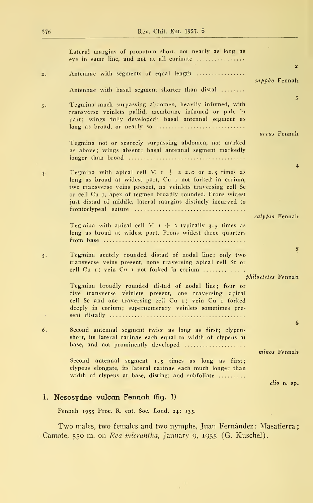|       | Lateral margins of pronotum short, not nearly as long as<br>eve in same line, and not at all carinate                                                                                                                                                                                                            |                         |
|-------|------------------------------------------------------------------------------------------------------------------------------------------------------------------------------------------------------------------------------------------------------------------------------------------------------------------|-------------------------|
| 2.    | Antennae with segments of equal length                                                                                                                                                                                                                                                                           | $\overline{z}$          |
|       | Antennae with basal segment shorter than distal                                                                                                                                                                                                                                                                  | sappho Fennah           |
| $3 -$ | Tegmina much surpassing abdomen, heavily infumed, with<br>transverse veinlets pallid, membrane infumed or pale in<br>part; wings fully developed; basal antennal segment as<br>$long$ as broad, or nearly so                                                                                                     | $\overline{\mathbf{3}}$ |
|       |                                                                                                                                                                                                                                                                                                                  | oreas Fennah            |
|       | Tegmina not or scarcely surpassing abdomen, not marked<br>as above; wings absent; basal antennal segment markedly                                                                                                                                                                                                |                         |
|       | Tegmina with apical cell M $r + 2$ 2.0 or 2.5 times as<br>long as broad at widest part, Cu I not forked in corium,<br>two transverse veins present, no veinlets traversing cell Sc<br>or cell Cu 1, apex of tegmen broadly rounded. Frons widest<br>just distad of middle, lateral margins distincly incurved to | $\ddot{\bullet}$        |
|       |                                                                                                                                                                                                                                                                                                                  | calypso Fennah          |
|       | Tegmina with apical cell M $1 + 2$ typically 3.5 times as<br>long as broad at widest part. Frons widest three quarters                                                                                                                                                                                           |                         |
| 5.    | Tegmina acutely rounded distad of nodal line; only two<br>transverse veins present, none traversing apical cell Sc or<br>cell Cu 1; vein Cu 1 not forked in corium                                                                                                                                               | 5                       |
|       |                                                                                                                                                                                                                                                                                                                  | philoctetes Fennah      |
|       | Tegmina broadly rounded distad of nodal line; four or<br>five transverse veinlets present, one traversing apical<br>cell Sc and one traversing cell Cu 1; vein Cu 1 forked<br>deeply in corium; supernumerary veinlets sometimes pre-                                                                            |                         |
| 6.    | Second antennal segment twice as long as first; clypeus                                                                                                                                                                                                                                                          | 6                       |
|       | short, its lateral carinae each equal to width of clypeus at<br>base, and not prominently developed                                                                                                                                                                                                              |                         |
|       |                                                                                                                                                                                                                                                                                                                  | minos Fennah            |
|       | Second antennal segment 1.5 times as long as first;<br>clypeus elongate, its lateral carinae each much longer than<br>width of clypeus at base, distinct and subfoliate                                                                                                                                          |                         |
|       |                                                                                                                                                                                                                                                                                                                  | $clio$ n. sp.           |
|       | 1. Nesosydne vulcan Fennah (fig. 1)                                                                                                                                                                                                                                                                              |                         |

Fennah 1955 Proc. R. ent. Soc. Lond. 24: 135.

Two males, two females and two nymphs, Juan Fernández: Masatierra; Camote, 550 m. on Rea micrantha, January 9, 1955 (G. Kuschel).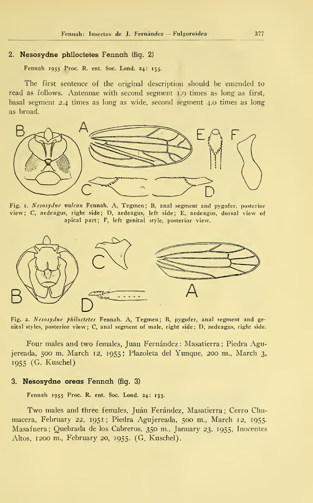#### 2. Nesosydne philoctetes Fennah (fig. 2)

Fennah 1955 Proc. R. ent. Soc. Lond. 24: 135.

The first sentence of the original description shouid be emended to read as follows. Antennae with second segment 1.9 times as long as first, basal segment 2.4 times as long as wide, second segment 4.0 times as long as broad.



Fig. 1. Nesosydne vulcan Fennah. A, Tegmen; B, anal segment and pygofer, posterior view; C, aedeagus, right side; D, aedeagus, left side; E, aedeagus, dorsal view of apical part; F, left genital style, posterior view.



Fig. 2. Nesosydne philoctetes Fennah. A, Tegmen; B, pygofer, anal segment and genital styles, posterior view; C, anal segment of male, right side; D, aedeagus, right side.

Four males and two females, Juan Fernández: Masatierra; Piedra Agujereada, 500 m. March 12, 1955; Plazoleta del Yunque, 200 m., March 3, 1955 (G. Kuschel)

#### 3. Nesosydne oreas Fennah (ñg. 3)

Fennah 1955 Proc. R. ent. Soc. Lond. 24: 133.

Two males and three females, Juán Ferández, Masatierra; Cerro Chumacera, February 22, 1951; Piedra Agujereada, 500 m., March 12, 1955. Masafuera; Quebrada de los Cabreros, 350 m., January 23, 1955, Inocentes Altos, 1200 m., February 20, 1955. (G. Kuschel).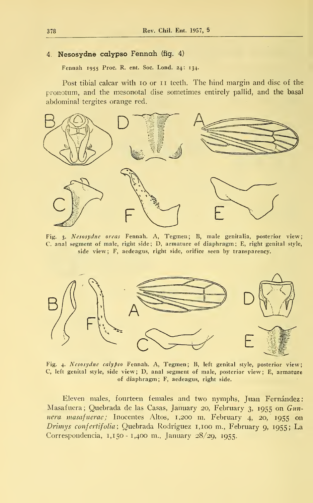# 4. Nesosydne calypso Fennah (fig. 4)

Fennah 1955 Proc. R. ent. Soc. Lond. 24: 134.

Post tibial calcar with 10 or <sup>11</sup> teeth. The hind margin and disc of the pronotum, and the mesonotal dise sometimes entirely pallid, and the basal abdominal tergites orange red.



Fig. 3. Nesosydne oreas Fennah. A, Tegmen; B, male genitalia, posterior view; C. anal segment of male, right side ; D, armature of diaphragm ; E, right genital style, side view; F, aedeagus, right side, orífice seen by transpareney.



Fig. 4. Nesosydne calypso Fennah. A, Tegmen; B, left genital style, posterior view; C, left genital style, side view; D, anal segment of male, posterior view; E, armature of diaphragm ; F, aedeagus, right side.

Eleven males, fourteen females and two nymphs, Juan Fernández: Masafuera; Quebrada de las Casas, January 20, February 3, 1955 on Gunnera masafuerac; Inocentes Altos, 1,200 m. February 4, 20, 1955 on Drimys confertifolia; Quebrada Rodríguez 1,100 m., February 9, 1955; La Correspondencia, 1,150- 1,400 m., January 28/29, 1955.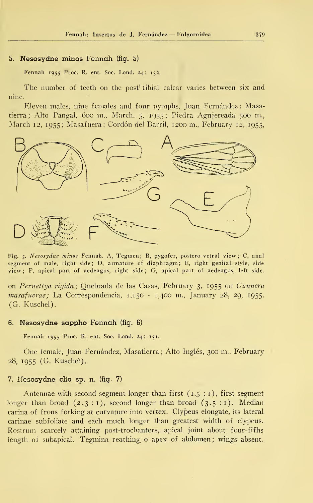#### 5. Nesosydne minos Fennah (fig. 5)

Fennah 1955 Proc. R. ent. Soc. Lond. 24: 132.

The number of teeth on the post tibial calcar varies between six and nine.

Eleven males, nine females and four nymphs, Juan Fernández: Masatierra; Alto Pangal, 600 m., March. 5, 1955; Piedra Agujereada 500 m., March 12, 1955; Masafnera ; Cordón del Barril, 1200 m., February 12, 1955,



Fig. 5. Nesosydne minos Fennah. A, Tegmen ; B, pygofer, postero-vetral view; C, anal segment of male, right side; D, armature of diaphragm; E, right genital style, side view; F, apical part of aedeagus, right side; G, apical part of aedeagus, left side.

on Pernettya rigida; Quebrada de las Casas, February 3, 1955 on Gunnera  $masafuerae$ ; La Correspondencia,  $1,150 - 1,400$  m., January 28, 29, 1955. (G. Kuschel).

#### 6. Nesosydne sappho Fennah (fig. 6)

Fennah 1955 Proc. R. ent. Soc. Lond. 24: 131.

One female, Juan Fernández, Masatierra ; Alto Inglés, 300 m., February 28, 1955 (G. Kuschel).

## 7. Nesosydne clio sp. n. (fig. 7)

Antennae with second segment longer than first  $(1.5 : I)$ , first segment longer than broad  $(2.3:1)$ , second longer than broad  $(3.5:1)$ . Median carina of frons forking at curvature into vertex. Clypeus elongate, its lateral carinae subfolíate and each much longer than greatest width of clypeus. Rostrum scarcely attaining post-trochanters, apical joint about four-fifhs length of subapical. Tegmina reaching o apex of abdomen; wings absent.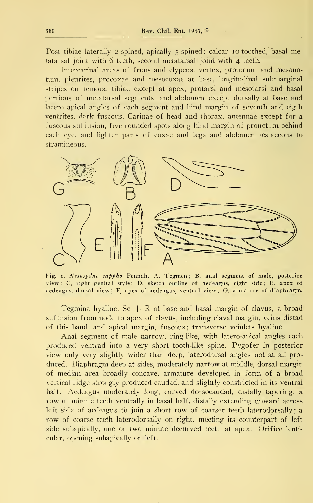Post tibiae laterally 2-spined, apically 5-spined; calcar 10-toothed, basal metatarsal joint with 6 teeth, second metatarsal joint with 4 teeth.

Intercarinal areas of frons and clypeus, vertex, pronotum and mesonotum, pleurites, procoxae and mesocoxae at base, longitudinal submarginal stripes on femora, tibiae except at apex, protarsi and mesotarsi and basal portions of metatarsal segments, and abdomen except dorsally at base and latero apical angles of each segment and hind margin of seventh and eigth ventrites, dark fuscous. Carinae of head and thorax, antennae except for a fuscous suf fusión, five rounded spots along hind margin of pronotum behind each eye, and lighter parts of coxae and legs and abdomen testaceous to stramineous.



Fig. 6. Nesosydne sappho Fennah. A, Tegmen; B, anal segment of male, posterior view; C, right genital style; D, sketch outline of aedeagus, right side; E, apex of aedeagus, dorsal view ; F, apex of aedeagus, ventral view ; G, armature of diaphragm.

Tegmina hyaline,  $Sc + R$  at base and basal margin of clavus, a broad suffusion from node to apex of clavus, including claval margin, veins distad of this band, and apical margin, fuscous: transverse veinlets hyaline.

Anal segment of male narrow, ring-like, with latero-apical angles each produced ventrad into a very short tooth-like spine. Pygofer in posterior view only very slightly wider than deep, laterodorsal angles not at all pro duced. Diaphragm deep at sides, moderately narrow at middle, dorsal margin of median área broadly concave, armature developed in form of a broad vertical ridge strongly produced caudad, and slightly constricted in its ventral half. Aedeagus moderately long, curved dorsocaudad, distally tapering, a row of minute teeth ventrally in basal half, distally extending upward across left side of aedeagus to join a short row of coarser teeth laterodorsally; a row of coarse teeth laterodorsally on right, meeting its counterpart of left side subapically, one or two minute decurved teeth at apex. Orífice lenti cular, opening subapically on left.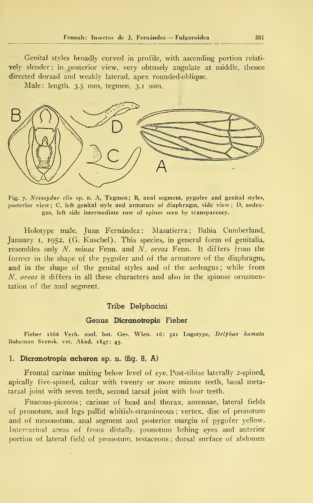Genital styles broadly curved in profile, with ascending portion relati vely slender; in posterior view, very obtusely angulate at middle, thence directed dorsad and weakly laterad, apex rounded-oblique.

Male: length, 3.5 mm, tegmen, 3.1 mm.



Fig. 7. Nesosydne dio sp. n. A, Tegmen; B, anal segment, pygofer and genital styles, posterior view; C, left genital style and armature of diaphragm, side view; D, aedeagus, left side intermedíate row of spines seen by transparency.

Holotype male, Juan Fernández: Masatierra; Bahía Cumberland, January 1, 1952, (G. Kuschel). This species, in general form of genitalia, resembles only  $N$ . minos Fenn. and  $N$ . oreas Fenn. It differs from the former in the shape of the pygofer and of the armature of the diaphragm, and in the shape of the genital styles and of the aedeagus; while from N. oreas it differs in all these characters and also in the spinose ornamentation of the anal segment.

# Tribe Delphacini

#### Genus Dicranotropis Fieber

Fieber 1866 Verh. zool. bot. Ges. Wien. 16: 521 Logotype, Delphax hamata Boheman Svensk. vet. Akad. 1847: 45.

# 1. Dicranotropis acheron sp. n. (fig. 8, A)

Frontal carinae uniting below level of eye. Post-tibiae laterally 2-spined, apically five-spined, calcar with twenty or more minute teeth, basal metatarsal joint with seven teeth, second tarsal joint with four teeth.

Fuscous-piceous; carinae of head and thorax, antennae, lateral fields of pronotum, and legs pallid whitish-stramineous; vertex, disc of pronotum and of mesonotum, anal segment and posterior margin of pygofer yellow. Intercarinal areas of frons distally, pronotum behing eyes and anterior portion of lateral field of pronotum, testaceous; dorsal surface of abdomen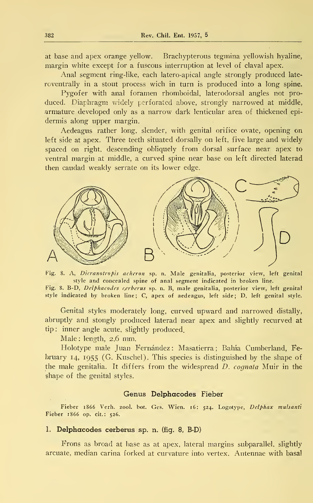at base and apex orange yellow. Brachypterous tegmina yellowish hyaline, margin white except for a fuscous interruption at level of claval apex.

Anal segment ring-like, each latero-apical angle strongly produced late roventrally in a stout process wich in turn is produced into a long spine.

Pygofer with anal foramen rhomboidal, laterodorsal angles not produced. Diaphragm widely perforated above, strongly narrowed at middle, armature developed only as a narrow dark lenticular area of thickened epidermis along upper margin.

Aedeagus rather long, slender, with genital orífice ovate, opening on left side at apex. Three teeth situated dorsally on left, five large and widely spaced on right, descending obliquely from dorsal surface near apex to ventral margin at middle, a curved spine near base on left directed laterad then caudad weakly serrate on its lower edge.



Fig. 8. A, Dicranotropis acheron sp. n. Male genitalia, posterior view, left genital style and concealed spine of anal segment indicated in broken line. Fig. 8. B-D, Delphacodes cerberus sp. n. B, male genitalia, posterior view, left genital style indicated by broken line; C, apex of aedeagus, left side; D, left genital style.

Genital styles moderately long, curved upward and narrowed distally, abruptly and stongly produced laterad near apex and slightly recurved at tip: inner angle acute, slightly produced.

Male : length, 2,6 mm.

Holotype male Juan Fernández: Masatierra; Bahía Cumberland, February 14, 1955 (G. Kuschel). This species is distinguished by the shape of the male genitalia. It differs from the widespread D. cognata Muir in the shape of the genital styles.

### Genus Delphacodes Fieber

Fieber 1866 Verh. zool. bot. Ges. Wien. 16: 524. Logotype, Dclphax mulsanti Fieber 1866 op. cit.: 526.

# 1. Delphacodes cerberus sp. n. (fig. 8, B-D)

Frons as broad at base as at apex, lateral margins subparallel, slightly arcuate, median carina forked at curvature into vertex. Antennae with basal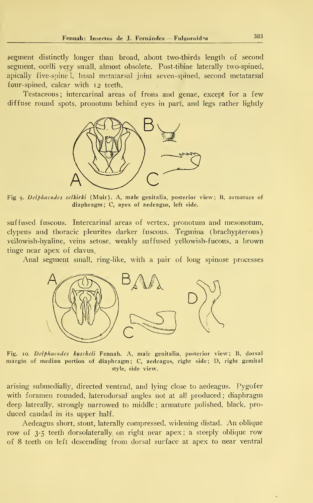segment distinctly longer than broad, about two-thirds length of second segment, ocelli very small, almost obsolete. Post-tibiae laterally two-spined, apically five-spine 1, basal metatarsal joint seven-spined, second metatarsal four-spined, calcar with 12 teeth.

Testaceous; intercarinal areas of frons and genae, except for a few diffuse round spots, pronotum behind eyes in part, and legs rather lightly



Fig 9. Delphacodes selkirki (Muir). A, male genitalia, posterior view ; B, armature of diaphragm; C, apex of aedeagus, left side.

suffused fuscous. Intercarinal areas of vertex, pronotum and mesonotum, clypeus and thoracic pleurites darker fuscous. Tegmina (brachypterous) vellowish-hyaline, veins setose, weakly suffused yellowish-fucous, a brown tinge near apex of clavus.

Anal segment small, ring-like, with a pair of long spinose processes



Fig. 10. Delphacodes kuscheli Fennah. A, male genitalia, posterior view; B, dorsal margin of median portion of diaphragm; C, aedeagus, right side; D, right gemital style, side view.

arising submedially, directed ventrad, and lying close to aedeagus. Pygofer with foramen rounded, laterodorsal angles not at all produced ; diaphragm deep latreally, strongly narrowed to middle ; armature polished, black, pro duced caudad in its upper half.

Aedeagus short, stout, laterally compressed, widening distad. An oblique row of 3-5 teeth dorsolaterally on right near apex; a steeply oblique row of 8 teeth on left descending from dorsal surface at apex to near ventral